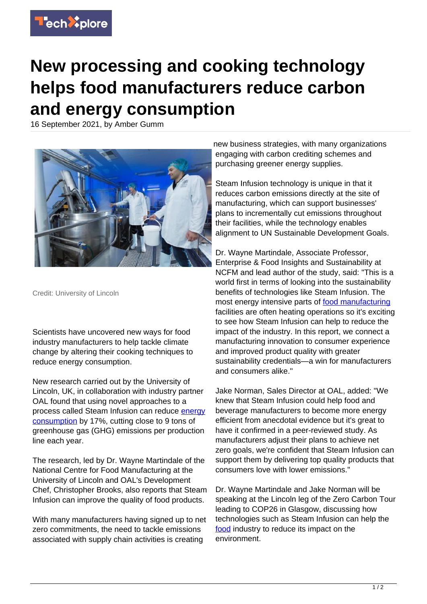

## **New processing and cooking technology helps food manufacturers reduce carbon and energy consumption**

16 September 2021, by Amber Gumm



Credit: University of Lincoln

Scientists have uncovered new ways for food industry manufacturers to help tackle climate change by altering their cooking techniques to reduce energy consumption.

New research carried out by the University of Lincoln, UK, in collaboration with industry partner OAL found that using novel approaches to a process called Steam Infusion can reduce [energy](https://techxplore.com/tags/energy+consumption/) [consumption](https://techxplore.com/tags/energy+consumption/) by 17%, cutting close to 9 tons of greenhouse gas (GHG) emissions per production line each year.

The research, led by Dr. Wayne Martindale of the National Centre for Food Manufacturing at the University of Lincoln and OAL's Development Chef, Christopher Brooks, also reports that Steam Infusion can improve the quality of food products.

With many manufacturers having signed up to net zero commitments, the need to tackle emissions associated with supply chain activities is creating

new business strategies, with many organizations engaging with carbon crediting schemes and purchasing greener energy supplies.

Steam Infusion technology is unique in that it reduces carbon emissions directly at the site of manufacturing, which can support businesses' plans to incrementally cut emissions throughout their facilities, while the technology enables alignment to UN Sustainable Development Goals.

Dr. Wayne Martindale, Associate Professor, Enterprise & Food Insights and Sustainability at NCFM and lead author of the study, said: "This is a world first in terms of looking into the sustainability benefits of technologies like Steam Infusion. The most energy intensive parts of [food manufacturing](https://techxplore.com/tags/food+manufacturing/) facilities are often heating operations so it's exciting to see how Steam Infusion can help to reduce the impact of the industry. In this report, we connect a manufacturing innovation to consumer experience and improved product quality with greater sustainability credentials—a win for manufacturers and consumers alike."

Jake Norman, Sales Director at OAL, added: "We knew that Steam Infusion could help food and beverage manufacturers to become more energy efficient from anecdotal evidence but it's great to have it confirmed in a peer-reviewed study. As manufacturers adjust their plans to achieve net zero goals, we're confident that Steam Infusion can support them by delivering top quality products that consumers love with lower emissions."

Dr. Wayne Martindale and Jake Norman will be speaking at the Lincoln leg of the Zero Carbon Tour leading to COP26 in Glasgow, discussing how technologies such as Steam Infusion can help the [food](https://techxplore.com/tags/food/) industry to reduce its impact on the environment.